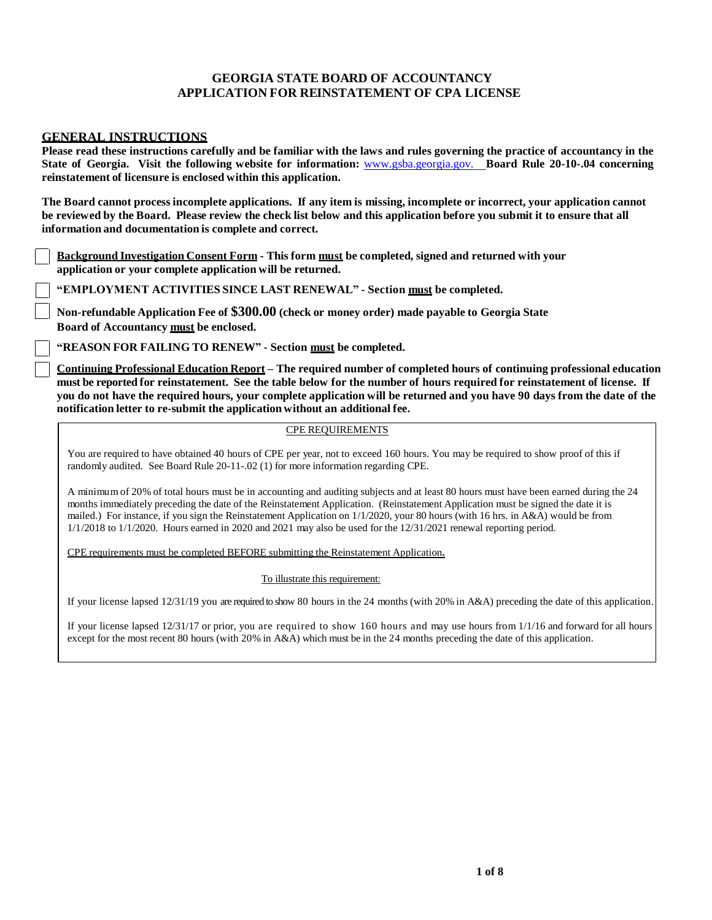#### **GEORGIA STATE BOARD OF ACCOUNTANCY APPLICATION FOR REINSTATEMENT OF CPA LICENSE**

#### **GENERAL INSTRUCTIONS**

Please read these instructions carefully and be familiar with the laws and rules governing the practice of accountancy in the **State of Georgia. Visit the following website for information:** www.gsba.georgia.gov. **Board Rule 20-10-.04 concerning reinstatement of licensure is enclosed within this application.**

The Board cannot process incomplete applications. If any item is missing, incomplete or incorrect, your application cannot be reviewed by the Board. Please review the check list below and this application before you submit it to ensure that all **information and documentation is complete and correct.**

**Background Investigation Consent Form - This form must be completed, signed and returned with your application or your complete application will be returned.**

**"EMPLOYMENT ACTIVITIES SINCE LAST RENEWAL" - Section must be completed.**

**Non-refundable Application Fee of \$300.00 (check or money order) made payable to Georgia State Board of Accountancy must be enclosed.**

**"REASON FOR FAILING TO RENEW" - Section must be completed.**

**Continuing Professional Education Report – The required number of completed hours of continuing professional education**  must be reported for reinstatement. See the table below for the number of hours required for reinstatement of license. If you do not have the required hours, your complete application will be returned and you have 90 days from the date of the **notification letter to re-submit the application without an additional fee.**

#### CPE REQUIREMENTS

You are required to have obtained 40 hours of CPE per year, not to exceed 160 hours. You may be required to show proof of this if randomly audited. See Board Rule 20-11-.02 (1) for more information regarding CPE.

A minimum of 20% of total hours must be in accounting and auditing subjects and at least 80 hours must have been earned during the 24 months immediately preceding the date of the Reinstatement Application. (Reinstatement Application must be signed the date it is mailed.) For instance, if you sign the Reinstatement Application on 1/1/2020, your 80 hours (with 16 hrs. in A&A) would be from  $1/1/2018$  to  $1/1/2020$ . Hours earned in 2020 and 2021 may also be used for the  $12/31/2021$  renewal reporting period.

CPE requirements must be completed BEFORE submitting the Reinstatement Application**.**

To illustrate this requirement:

If your license lapsed 12/31/19 you are required to show 80 hours in the 24 months (with 20% in A&A) preceding the date of this application.

If your license lapsed 12/31/17 or prior, you are required to show 160 hours and may use hours from 1/1/16 and forward for all hours except for the most recent 80 hours (with 20% in A&A) which must be in the 24 months preceding the date of this application.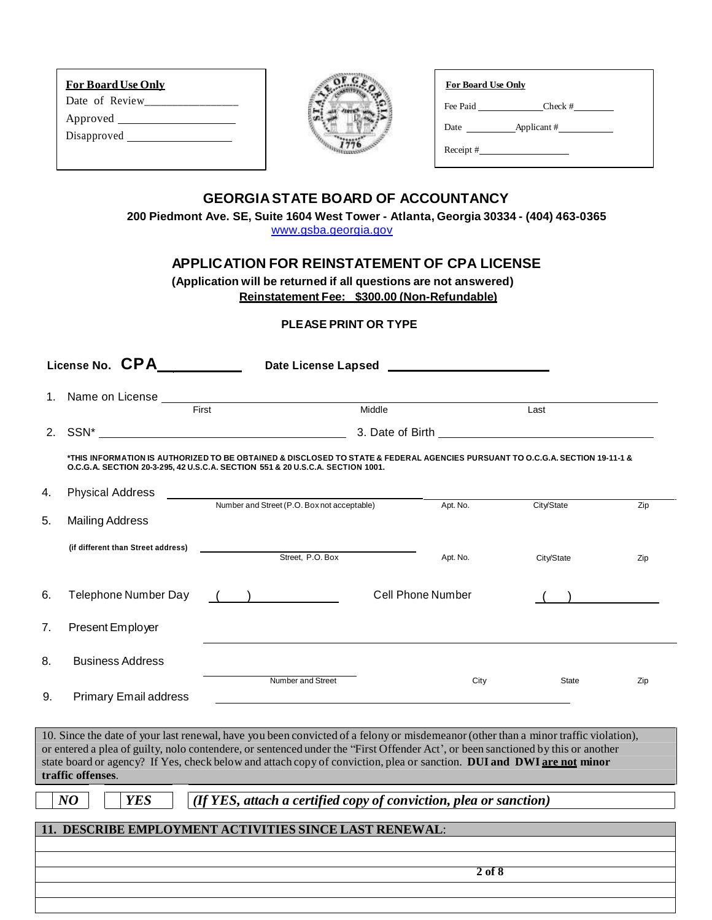| <b>For Board Use Only</b> | For Board Use Only             |
|---------------------------|--------------------------------|
| Date of Review            | Fee Paid Check #               |
|                           |                                |
|                           | Applicant $#$<br>Date $\qquad$ |
|                           | $\text{Receipt}$ #             |
|                           |                                |

### **GEORGIASTATE BOARD OF ACCOUNTANCY**

**200 Piedmont Ave. SE, Suite 1604 West Tower - Atlanta, Georgia 30334 - (404) 463-0365** 

[www.gsba.georgia.gov](http://www.gsba.georgia.gov/)

## **APPLICATION FOR REINSTATEMENT OF CPA LICENSE**

**(Application will be returned if all questions are not answered) Reinstatement Fee: \$300.00 (Non-Refundable)**

#### **PLEASE PRINT OR TYPE**

|    | License No. CPA                    | Date License Lapsed ____________________                                                                                                                                                                                                                                                                                                                                                         |                                                                                                                                                                                                                                      |              |     |
|----|------------------------------------|--------------------------------------------------------------------------------------------------------------------------------------------------------------------------------------------------------------------------------------------------------------------------------------------------------------------------------------------------------------------------------------------------|--------------------------------------------------------------------------------------------------------------------------------------------------------------------------------------------------------------------------------------|--------------|-----|
| 1. | Name on License ____<br>First      | Middle                                                                                                                                                                                                                                                                                                                                                                                           |                                                                                                                                                                                                                                      | Last         |     |
|    |                                    |                                                                                                                                                                                                                                                                                                                                                                                                  | 3. Date of Birth <u>contract and the set of the set of the set of the set of the set of the set of the set of the set of the set of the set of the set of the set of the set of the set of the set of the set of the set of the </u> |              |     |
|    |                                    | *THIS INFORMATION IS AUTHORIZED TO BE OBTAINED & DISCLOSED TO STATE & FEDERAL AGENCIES PURSUANT TO O.C.G.A. SECTION 19-11-1 &<br>O.C.G.A. SECTION 20-3-295, 42 U.S.C.A. SECTION 551 & 20 U.S.C.A. SECTION 1001.                                                                                                                                                                                  |                                                                                                                                                                                                                                      |              |     |
| 4. | <b>Physical Address</b>            | Number and Street (P.O. Box not acceptable)                                                                                                                                                                                                                                                                                                                                                      | Apt. No.                                                                                                                                                                                                                             | City/State   | Zip |
| 5. | <b>Mailing Address</b>             |                                                                                                                                                                                                                                                                                                                                                                                                  |                                                                                                                                                                                                                                      |              |     |
|    | (if different than Street address) | Street, P.O. Box                                                                                                                                                                                                                                                                                                                                                                                 | Apt. No.                                                                                                                                                                                                                             | City/State   | Zip |
| 6. | Telephone Number Day               | $($ $)$                                                                                                                                                                                                                                                                                                                                                                                          | <b>Cell Phone Number</b>                                                                                                                                                                                                             |              |     |
| 7. | Present Employer                   |                                                                                                                                                                                                                                                                                                                                                                                                  |                                                                                                                                                                                                                                      |              |     |
| 8. | <b>Business Address</b>            |                                                                                                                                                                                                                                                                                                                                                                                                  |                                                                                                                                                                                                                                      |              |     |
| 9. | <b>Primary Email address</b>       | Number and Street                                                                                                                                                                                                                                                                                                                                                                                | City                                                                                                                                                                                                                                 | <b>State</b> | Zip |
|    | traffic offenses.                  | 10. Since the date of your last renewal, have you been convicted of a felony or misdemeanor (other than a minor traffic violation),<br>or entered a plea of guilty, nolo contendere, or sentenced under the "First Offender Act", or been sanctioned by this or another<br>state board or agency? If Yes, check below and attach copy of conviction, plea or sanction. DUI and DWI are not minor |                                                                                                                                                                                                                                      |              |     |
|    | $N\bm{O}$<br><b>YES</b>            | (If YES, attach a certified copy of conviction, plea or sanction)                                                                                                                                                                                                                                                                                                                                |                                                                                                                                                                                                                                      |              |     |
|    |                                    | 11. DESCRIBE EMPLOYMENT ACTIVITIES SINCE LAST RENEWAL:                                                                                                                                                                                                                                                                                                                                           |                                                                                                                                                                                                                                      |              |     |
|    |                                    |                                                                                                                                                                                                                                                                                                                                                                                                  |                                                                                                                                                                                                                                      |              |     |
|    |                                    |                                                                                                                                                                                                                                                                                                                                                                                                  | $2$ of $8$                                                                                                                                                                                                                           |              |     |
|    |                                    |                                                                                                                                                                                                                                                                                                                                                                                                  |                                                                                                                                                                                                                                      |              |     |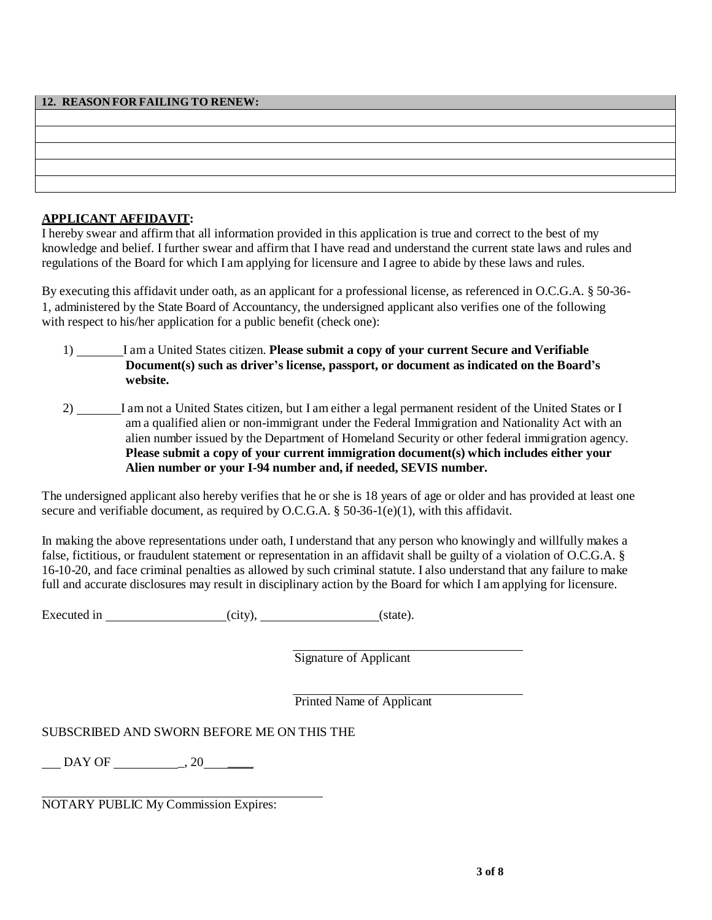| 12. REASON FOR FAILING TO RENEW: |  |
|----------------------------------|--|
|                                  |  |
|                                  |  |
|                                  |  |
|                                  |  |
|                                  |  |
|                                  |  |
|                                  |  |
|                                  |  |
|                                  |  |

### **APPLICANT AFFIDAVIT:**

I hereby swear and affirm that all information provided in this application is true and correct to the best of my knowledge and belief. I further swear and affirm that I have read and understand the current state laws and rules and regulations of the Board for which I am applying for licensure and I agree to abide by these laws and rules.

By executing this affidavit under oath, as an applicant for a professional license, as referenced in O.C.G.A. § 50-36- 1, administered by the State Board of Accountancy, the undersigned applicant also verifies one of the following with respect to his/her application for a public benefit (check one):

- 1) I am a United States citizen. **Please submit a copy of your current Secure and Verifiable Document(s) such as driver's license, passport, or document as indicated on the Board's website.**
- 2) I am not a United States citizen, but I am either a legal permanent resident of the United States or I am a qualified alien or non-immigrant under the Federal Immigration and Nationality Act with an alien number issued by the Department of Homeland Security or other federal immigration agency. **Please submit a copy of your current immigration document(s) which includes either your Alien number or your I-94 number and, if needed, SEVIS number.**

The undersigned applicant also hereby verifies that he or she is 18 years of age or older and has provided at least one secure and verifiable document, as required by O.C.G.A. § 50-36-1(e)(1), with this affidavit.

In making the above representations under oath, I understand that any person who knowingly and willfully makes a false, fictitious, or fraudulent statement or representation in an affidavit shall be guilty of a violation of O.C.G.A. § 16-10-20, and face criminal penalties as allowed by such criminal statute. I also understand that any failure to make full and accurate disclosures may result in disciplinary action by the Board for which I am applying for licensure.

Executed in (city), (state).

Signature of Applicant

Printed Name of Applicant

SUBSCRIBED AND SWORN BEFORE ME ON THIS THE

DAY OF \_, 20 \_\_\_\_

NOTARY PUBLIC My Commission Expires: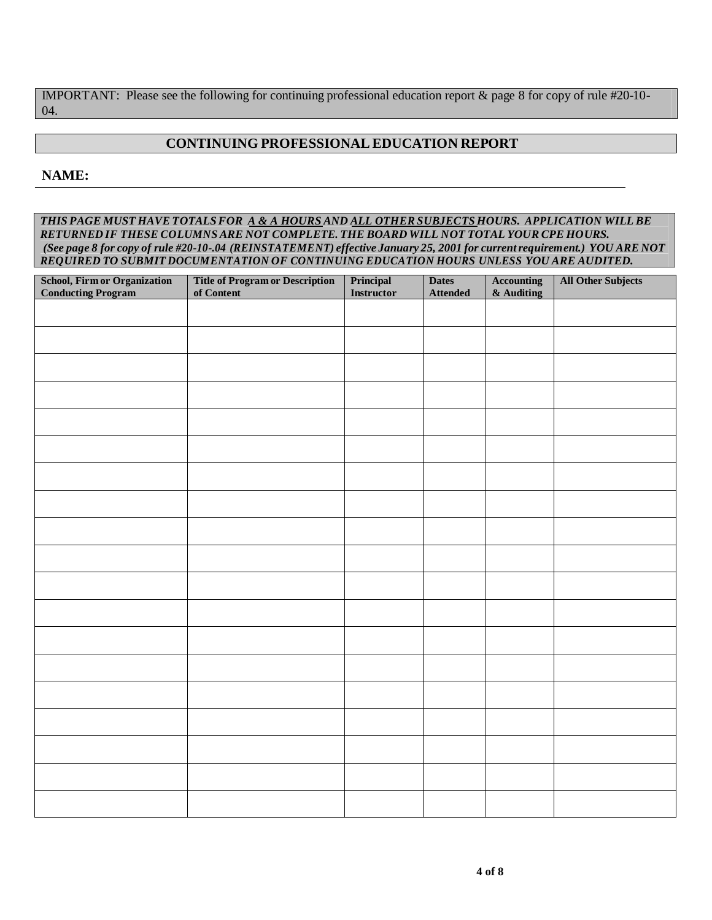IMPORTANT: Please see the following for continuing professional education report & page 8 for copy of rule #20-10- 04.

## **CONTINUING PROFESSIONAL EDUCATION REPORT**

### **NAME:**

*THIS PAGE MUST HAVE TOTALSFOR A & A HOURS AND ALL OTHER SUBJECTS HOURS. APPLICATION WILL BE RETURNED IF THESE COLUMNS ARE NOT COMPLETE. THE BOARD WILL NOT TOTAL YOUR CPE HOURS.* (See page 8 for copy of rule #20-10-.04 (REINSTATEMENT) effective January 25, 2001 for current requirement.) YOU ARE NOT *REQUIRED TO SUBMIT DOCUMENTATION OF CONTINUING EDUCATION HOURS UNLESS YOU ARE AUDITED.*

| <b>School, Firm or Organization</b><br><b>Conducting Program</b> | <b>Title of Program or Description</b><br>of Content | $\bf Principal$<br>Instructor | <b>Dates</b><br><b>Attended</b> | $\Large {\bf \large {\bf \large {\bf \large Accounting}} }$<br>$&$ Auditing | <b>All Other Subjects</b> |
|------------------------------------------------------------------|------------------------------------------------------|-------------------------------|---------------------------------|-----------------------------------------------------------------------------|---------------------------|
|                                                                  |                                                      |                               |                                 |                                                                             |                           |
|                                                                  |                                                      |                               |                                 |                                                                             |                           |
|                                                                  |                                                      |                               |                                 |                                                                             |                           |
|                                                                  |                                                      |                               |                                 |                                                                             |                           |
|                                                                  |                                                      |                               |                                 |                                                                             |                           |
|                                                                  |                                                      |                               |                                 |                                                                             |                           |
|                                                                  |                                                      |                               |                                 |                                                                             |                           |
|                                                                  |                                                      |                               |                                 |                                                                             |                           |
|                                                                  |                                                      |                               |                                 |                                                                             |                           |
|                                                                  |                                                      |                               |                                 |                                                                             |                           |
|                                                                  |                                                      |                               |                                 |                                                                             |                           |
|                                                                  |                                                      |                               |                                 |                                                                             |                           |
|                                                                  |                                                      |                               |                                 |                                                                             |                           |
|                                                                  |                                                      |                               |                                 |                                                                             |                           |
|                                                                  |                                                      |                               |                                 |                                                                             |                           |
|                                                                  |                                                      |                               |                                 |                                                                             |                           |
|                                                                  |                                                      |                               |                                 |                                                                             |                           |
|                                                                  |                                                      |                               |                                 |                                                                             |                           |
|                                                                  |                                                      |                               |                                 |                                                                             |                           |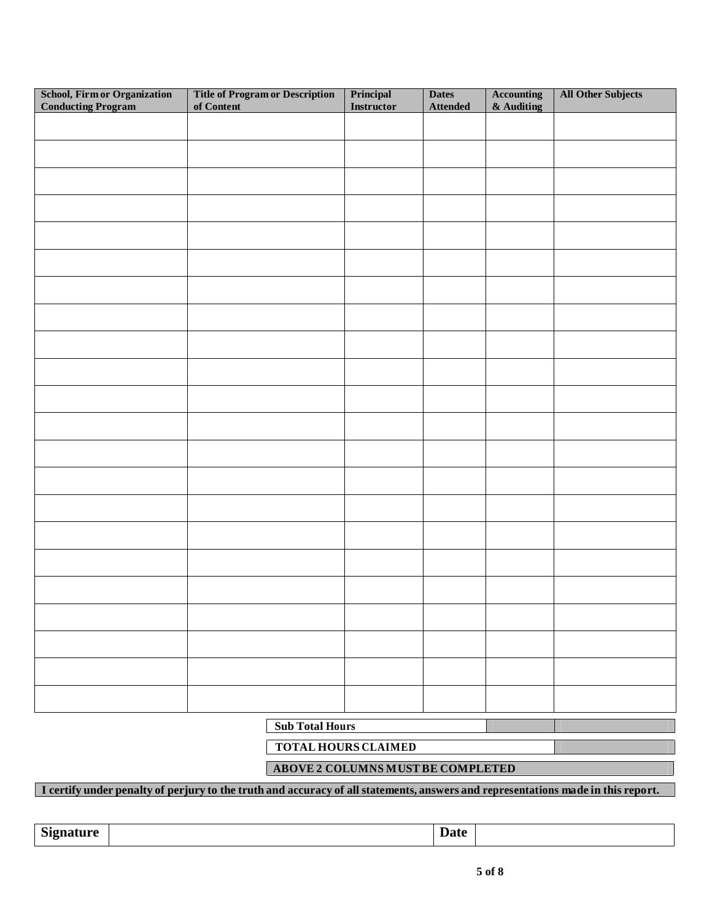| School, Firm or Organization<br><b>Conducting Program</b> | <b>Title of Program or Description</b><br>of Content | Principal<br>Instructor | <b>Dates</b><br><b>Attended</b> | <b>Accounting</b><br>& Auditing | <b>All Other Subjects</b> |  |
|-----------------------------------------------------------|------------------------------------------------------|-------------------------|---------------------------------|---------------------------------|---------------------------|--|
|                                                           |                                                      |                         |                                 |                                 |                           |  |
|                                                           |                                                      |                         |                                 |                                 |                           |  |
|                                                           |                                                      |                         |                                 |                                 |                           |  |
|                                                           |                                                      |                         |                                 |                                 |                           |  |
|                                                           |                                                      |                         |                                 |                                 |                           |  |
|                                                           |                                                      |                         |                                 |                                 |                           |  |
|                                                           |                                                      |                         |                                 |                                 |                           |  |
|                                                           |                                                      |                         |                                 |                                 |                           |  |
|                                                           |                                                      |                         |                                 |                                 |                           |  |
|                                                           |                                                      |                         |                                 |                                 |                           |  |
|                                                           |                                                      |                         |                                 |                                 |                           |  |
|                                                           |                                                      |                         |                                 |                                 |                           |  |
|                                                           |                                                      |                         |                                 |                                 |                           |  |
|                                                           |                                                      |                         |                                 |                                 |                           |  |
|                                                           |                                                      |                         |                                 |                                 |                           |  |
|                                                           |                                                      |                         |                                 |                                 |                           |  |
|                                                           |                                                      |                         |                                 |                                 |                           |  |
|                                                           |                                                      |                         |                                 |                                 |                           |  |
|                                                           |                                                      |                         |                                 |                                 |                           |  |
|                                                           |                                                      |                         |                                 |                                 |                           |  |
|                                                           |                                                      |                         |                                 |                                 |                           |  |
|                                                           |                                                      |                         |                                 |                                 |                           |  |
|                                                           | <b>Sub Total Hours</b>                               |                         |                                 |                                 |                           |  |

**TOTAL HOURS CLAIMED**

**ABOVE 2 COLUMNS MUSTBE COMPLETED**

### I certify under penalty of perjury to the truth and accuracy of all statements, answers and representations made in this report.

**Signature Date**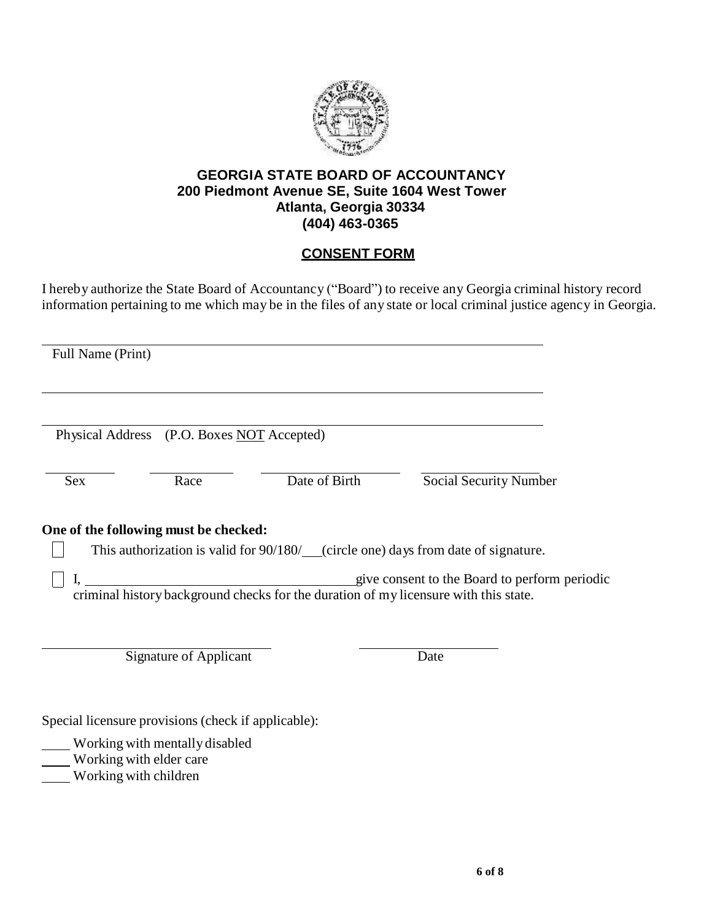

## **GEORGIA STATE BOARD OF ACCOUNTANCY 200 Piedmont Avenue SE, Suite 1604 West Tower Atlanta, Georgia 30334 (404) 463-0365**

# **CONSENT FORM**

I hereby authorize the State Board of Accountancy ("Board") to receive any Georgia criminal history record information pertaining to me which may be in the files of any state or local criminal justice agency in Georgia.

| Full Name (Print) |                                                                                    |               |                                                                                                                                       |  |
|-------------------|------------------------------------------------------------------------------------|---------------|---------------------------------------------------------------------------------------------------------------------------------------|--|
|                   | Physical Address (P.O. Boxes NOT Accepted)                                         |               |                                                                                                                                       |  |
| Sex               | Race                                                                               | Date of Birth | <b>Social Security Number</b>                                                                                                         |  |
|                   |                                                                                    |               |                                                                                                                                       |  |
|                   | One of the following must be checked:                                              |               | This authorization is valid for 90/180/ (circle one) days from date of signature.                                                     |  |
|                   |                                                                                    |               | give consent to the Board to perform periodic<br>criminal history background checks for the duration of my licensure with this state. |  |
|                   | <b>Signature of Applicant</b>                                                      |               | Date                                                                                                                                  |  |
|                   | Special licensure provisions (check if applicable):                                |               |                                                                                                                                       |  |
|                   | Working with mentally disabled<br>Working with elder care<br>Working with children |               |                                                                                                                                       |  |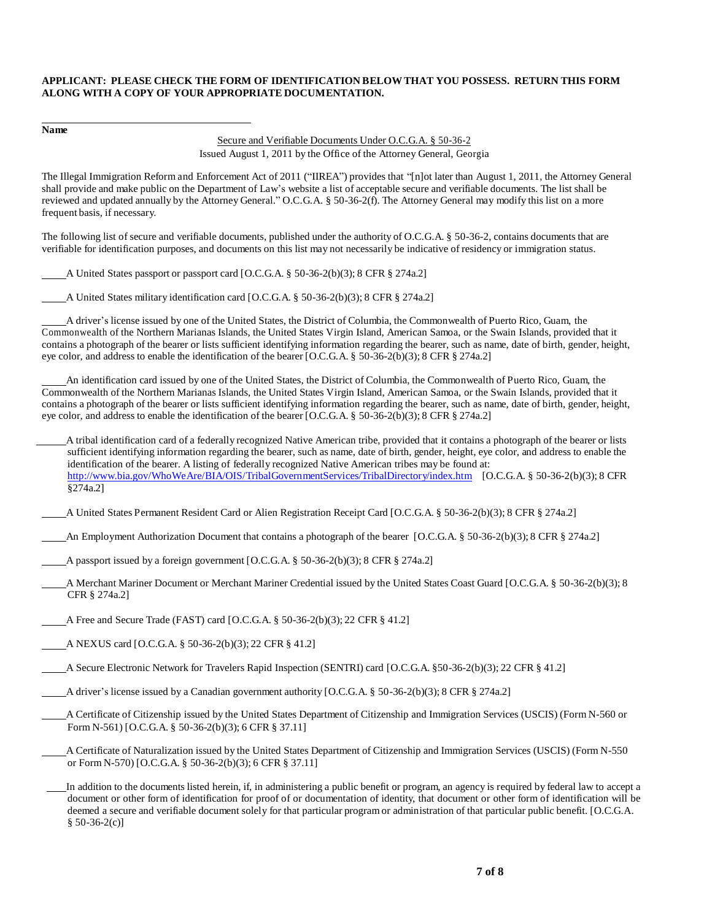#### **APPLICANT: PLEASE CHECK THE FORM OF IDENTIFICATION BELOWTHAT YOU POSSESS. RETURN THIS FORM ALONG WITH A COPY OF YOUR APPROPRIATE DOCUMENTATION.**

**Name**

#### Secure and Verifiable Documents Under O.C.G.A. § 50-36-2 Issued August 1, 2011 by the Office of the Attorney General, Georgia

The Illegal Immigration Reform and Enforcement Act of 2011 ("IIREA") provides that "[n]ot later than August 1, 2011, the Attorney General shall provide and make public on the Department of Law's website a list of acceptable secure and verifiable documents. The list shall be reviewed and updated annually by the Attorney General." O.C.G.A. § 50-36-2(f). The Attorney General may modify this list on a more frequent basis, if necessary.

The following list of secure and verifiable documents, published under the authority of O.C.G.A. § 50-36-2, contains documents that are verifiable for identification purposes, and documents on this list may not necessarily be indicative of residency or immigration status.

A United States passport or passport card [O.C.G.A. § 50-36-2(b)(3); 8 CFR § 274a.2]

A United States military identification card [O.C.G.A. § 50-36-2(b)(3); 8 CFR § 274a.2]

A driver's license issued by one of the United States, the District of Columbia, the Commonwealth of Puerto Rico, Guam, the Commonwealth of the Northern Marianas Islands, the United States Virgin Island, American Samoa, or the Swain Islands, provided that it contains a photograph of the bearer or lists sufficient identifying information regarding the bearer, such as name, date of birth, gender, height, eye color, and address to enable the identification of the bearer [O.C.G.A. § 50-36-2(b)(3); 8 CFR § 274a.2]

An identification card issued by one of the United States, the District of Columbia, the Commonwealth of Puerto Rico, Guam, the Commonwealth of the Northern Marianas Islands, the United States Virgin Island, American Samoa, or the Swain Islands, provided that it contains a photograph of the bearer or lists sufficient identifying information regarding the bearer, such as name, date of birth, gender, height, eye color, and address to enable the identification of the bearer [O.C.G.A. § 50-36-2(b)(3); 8 CFR § 274a.2]

A tribal identification card of a federally recognized Native American tribe, provided that it contains a photograph of the bearer or lists sufficient identifying information regarding the bearer, such as name, date of birth, gender, height, eye color, and address to enable the identification of the bearer. A listing of federally recognized Native American tribes may be found at: [http://www.bia.gov/WhoWeAre/BIA/OIS/TribalGovernmentServices/TribalDirectory/index.htm \[O](http://www.bia.gov/WhoWeAre/BIA/OIS/TribalGovernmentServices/TribalDirectory/index.htm).C.G.A. § 50-36-2(b)(3); 8 CFR §274a.2]

A United States Permanent Resident Card or Alien Registration Receipt Card [O.C.G.A. § 50-36-2(b)(3); 8 CFR § 274a.2]

An Employment Authorization Document that contains a photograph of the bearer [O.C.G.A. § 50-36-2(b)(3); 8 CFR § 274a.2]

A passport issued by a foreign government [O.C.G.A. § 50-36-2(b)(3); 8 CFR § 274a.2]

- A Merchant Mariner Document or Merchant Mariner Credential issued by the United States Coast Guard [O.C.G.A. § 50-36-2(b)(3); 8 CFR § 274a.2]
- A Free and Secure Trade (FAST) card [O.C.G.A. § 50-36-2(b)(3); 22 CFR § 41.2]
- A NEXUS card [O.C.G.A. § 50-36-2(b)(3); 22 CFR § 41.2]

A Secure Electronic Network for Travelers Rapid Inspection (SENTRI) card [O.C.G.A. §50-36-2(b)(3); 22 CFR § 41.2]

A driver's license issued by a Canadian government authority [O.C.G.A. § 50-36-2(b)(3); 8 CFR § 274a.2]

A Certificate of Citizenship issued by the United States Department of Citizenship and Immigration Services (USCIS) (Form N-560 or Form N-561) [O.C.G.A. § 50-36-2(b)(3); 6 CFR § 37.11]

A Certificate of Naturalization issued by the United States Department of Citizenship and Immigration Services (USCIS) (Form N-550 or Form N-570) [O.C.G.A. § 50-36-2(b)(3); 6 CFR § 37.11]

In addition to the documents listed herein, if, in administering a public benefit or program, an agency is required by federal law to accept a document or other form of identification for proof of or documentation of identity, that document or other form of identification will be deemed a secure and verifiable document solely for that particular program or administration of that particular public benefit. [O.C.G.A.  $§ 50-36-2(c)]$